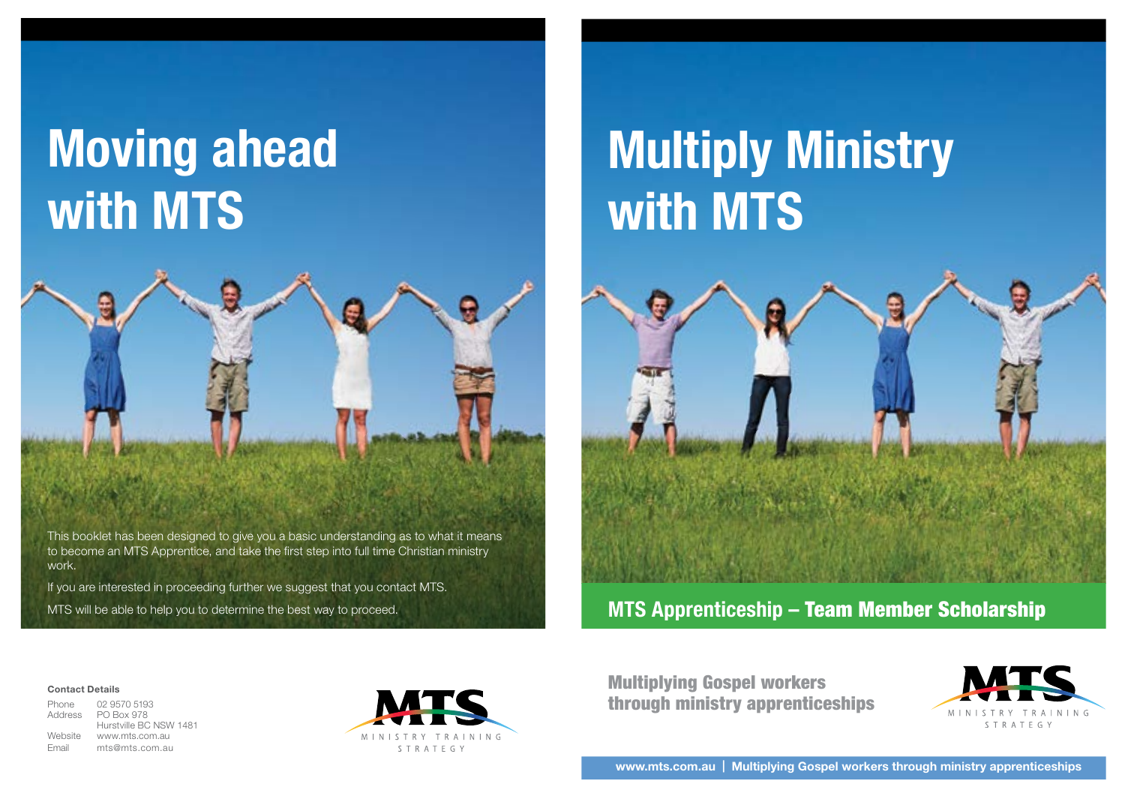# **Moving ahead with MTS**



This booklet has been designed to give you a basic understanding as to what it means to become an MTS Apprentice, and take the first step into full time Christian ministry work.

If you are interested in proceeding further we suggest that you contact MTS.

MTS will be able to help you to determine the best way to proceed.

# **Multiply Ministry with MTS**



**MTS Apprenticeship –** Team Member Scholarship

#### **Contact Details**

Phone 02 9570 5193 Address PO Box 978 Hurstville BC NSW 1481 Website www.mts.com.au Email mts@mts.com.au



Multiplying Gospel workers through ministry apprenticeships



**www.mts.com.au | Multiplying Gospel workers through ministry apprenticeships**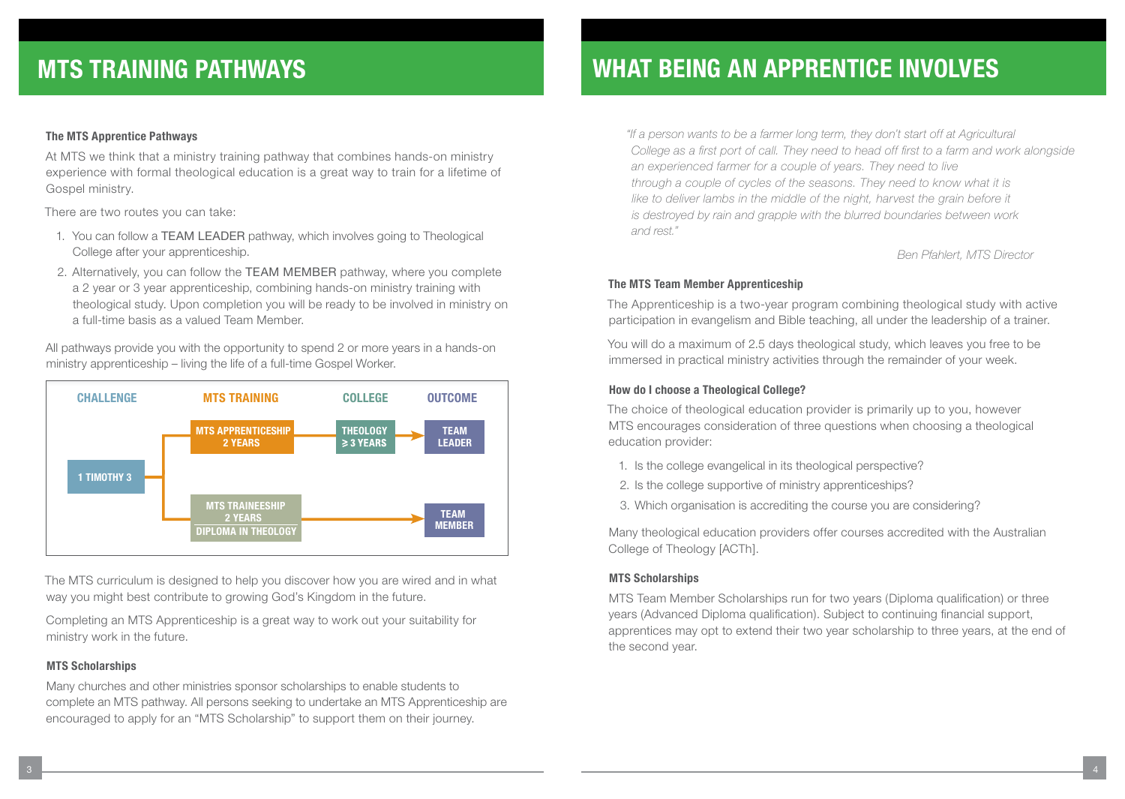### **The MTS Apprentice Pathways**

At MTS we think that a ministry training pathway that combines hands-on ministry experience with formal theological education is a great way to train for a lifetime of Gospel ministry.

There are two routes you can take:

- 1. You can follow a TEAM LEADER pathway, which involves going to Theological College after your apprenticeship.
- 2. Alternatively, you can follow the TEAM MEMBER pathway, where you complete a 2 year or 3 year apprenticeship, combining hands-on ministry training with theological study. Upon completion you will be ready to be involved in ministry on a full-time basis as a valued Team Member.

All pathways provide you with the opportunity to spend 2 or more years in a hands-on ministry apprenticeship – living the life of a full-time Gospel Worker.



The MTS curriculum is designed to help you discover how you are wired and in what way you might best contribute to growing God's Kingdom in the future.

Completing an MTS Apprenticeship is a great way to work out your suitability for ministry work in the future.

#### **MTS Scholarships**

Many churches and other ministries sponsor scholarships to enable students to complete an MTS pathway. All persons seeking to undertake an MTS Apprenticeship are encouraged to apply for an "MTS Scholarship" to support them on their journey.

# **MTS TRAINING PATHWAYS WHAT BEING AN APPRENTICE INVOLVES**

*"If a person wants to be a farmer long term, they don't start off at Agricultural College as a first port of call. They need to head off first to a farm and work alongside an experienced farmer for a couple of years. They need to live through a couple of cycles of the seasons. They need to know what it is*  like to deliver lambs in the middle of the night, harvest the grain before it *is destroyed by rain and grapple with the blurred boundaries between work and rest."* 

 *Ben Pfahlert, MTS Director*

#### **The MTS Team Member Apprenticeship**

The Apprenticeship is a two-year program combining theological study with active participation in evangelism and Bible teaching, all under the leadership of a trainer.

You will do a maximum of 2.5 days theological study, which leaves you free to be immersed in practical ministry activities through the remainder of your week.

#### **How do I choose a Theological College?**

The choice of theological education provider is primarily up to you, however MTS encourages consideration of three questions when choosing a theological education provider:

- 1. Is the college evangelical in its theological perspective?
- 2. Is the college supportive of ministry apprenticeships?
- 3. Which organisation is accrediting the course you are considering?

Many theological education providers offer courses accredited with the Australian College of Theology [ACTh].

#### **MTS Scholarships**

MTS Team Member Scholarships run for two years (Diploma qualification) or three years (Advanced Diploma qualification). Subject to continuing financial support, apprentices may opt to extend their two year scholarship to three years, at the end of the second year.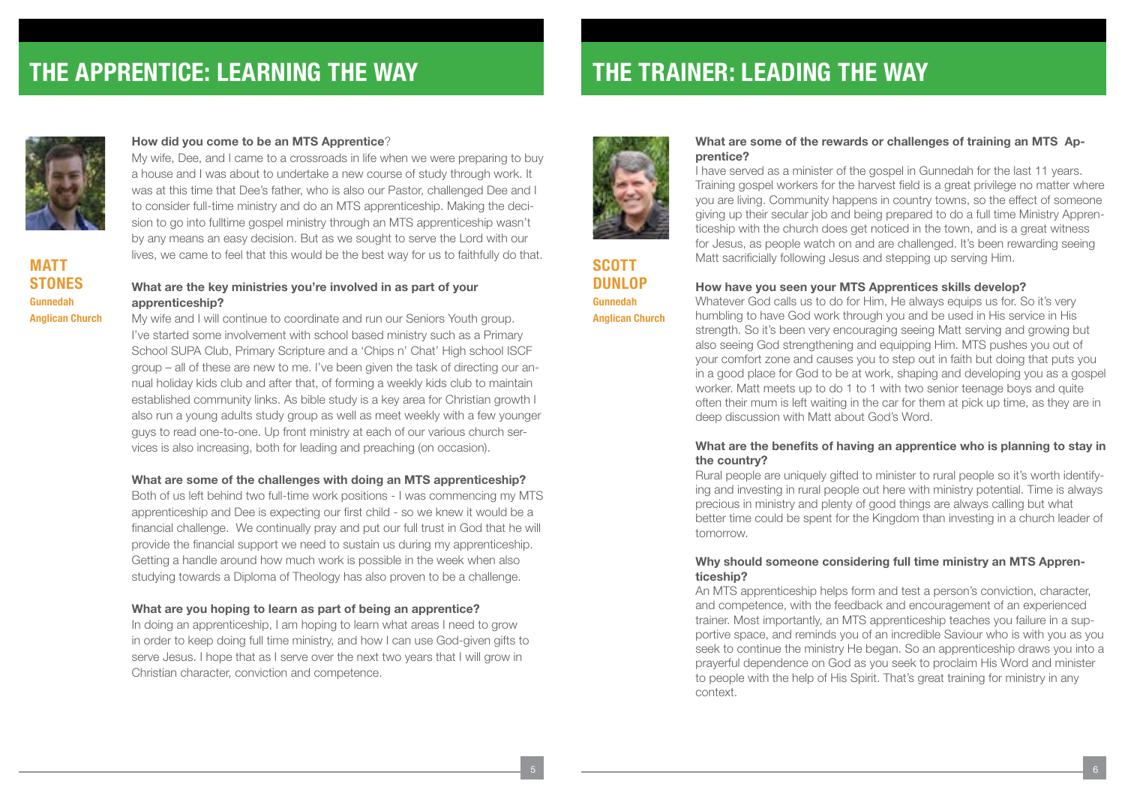

**MATT STONES Gunnedah Anglican Church**

#### **How did you come to be an MTS Apprentice**?

My wife, Dee, and I came to a crossroads in life when we were preparing to buy a house and I was about to undertake a new course of study through work. It was at this time that Dee's father, who is also our Pastor, challenged Dee and I to consider full-time ministry and do an MTS apprenticeship. Making the decision to go into fulltime gospel ministry through an MTS apprenticeship wasn't by any means an easy decision. But as we sought to serve the Lord with our lives, we came to feel that this would be the best way for us to faithfully do that.

#### **What are the key ministries you're involved in as part of your apprenticeship?**

My wife and I will continue to coordinate and run our Seniors Youth group. I've started some involvement with school based ministry such as a Primary School SUPA Club, Primary Scripture and a 'Chips n' Chat' High school ISCF group – all of these are new to me. I've been given the task of directing our annual holiday kids club and after that, of forming a weekly kids club to maintain established community links. As bible study is a key area for Christian growth I also run a young adults study group as well as meet weekly with a few younger guys to read one-to-one. Up front ministry at each of our various church services is also increasing, both for leading and preaching (on occasion).

#### **What are some of the challenges with doing an MTS apprenticeship?**

Both of us left behind two full-time work positions - I was commencing my MTS apprenticeship and Dee is expecting our first child - so we knew it would be a financial challenge. We continually pray and put our full trust in God that he will provide the financial support we need to sustain us during my apprenticeship. Getting a handle around how much work is possible in the week when also studying towards a Diploma of Theology has also proven to be a challenge.

#### **What are you hoping to learn as part of being an apprentice?**

In doing an apprenticeship, I am hoping to learn what areas I need to grow in order to keep doing full time ministry, and how I can use God-given gifts to serve Jesus. I hope that as I serve over the next two years that I will grow in Christian character, conviction and competence.



**SCOTT DUNLOP Gunnedah Anglican Church**

#### **What are some of the rewards or challenges of training an MTS Apprentice?**

I have served as a minister of the gospel in Gunnedah for the last 11 years. Training gospel workers for the harvest field is a great privilege no matter where you are living. Community happens in country towns, so the effect of someone giving up their secular job and being prepared to do a full time Ministry Apprenticeship with the church does get noticed in the town, and is a great witness for Jesus, as people watch on and are challenged. It's been rewarding seeing Matt sacrificially following Jesus and stepping up serving Him.

## **How have you seen your MTS Apprentices skills develop?**

Whatever God calls us to do for Him, He always equips us for. So it's very humbling to have God work through you and be used in His service in His strength. So it's been very encouraging seeing Matt serving and growing but also seeing God strengthening and equipping Him. MTS pushes you out of your comfort zone and causes you to step out in faith but doing that puts you in a good place for God to be at work, shaping and developing you as a gospel worker. Matt meets up to do 1 to 1 with two senior teenage boys and quite often their mum is left waiting in the car for them at pick up time, as they are in deep discussion with Matt about God's Word.

#### **What are the benefits of having an apprentice who is planning to stay in the country?**

Rural people are uniquely gifted to minister to rural people so it's worth identifying and investing in rural people out here with ministry potential. Time is always precious in ministry and plenty of good things are always calling but what better time could be spent for the Kingdom than investing in a church leader of tomorrow.

### **Why should someone considering full time ministry an MTS Apprenticeship?**

An MTS apprenticeship helps form and test a person's conviction, character, and competence, with the feedback and encouragement of an experienced trainer. Most importantly, an MTS apprenticeship teaches you failure in a supportive space, and reminds you of an incredible Saviour who is with you as you seek to continue the ministry He began. So an apprenticeship draws you into a prayerful dependence on God as you seek to proclaim His Word and minister to people with the help of His Spirit. That's great training for ministry in any context.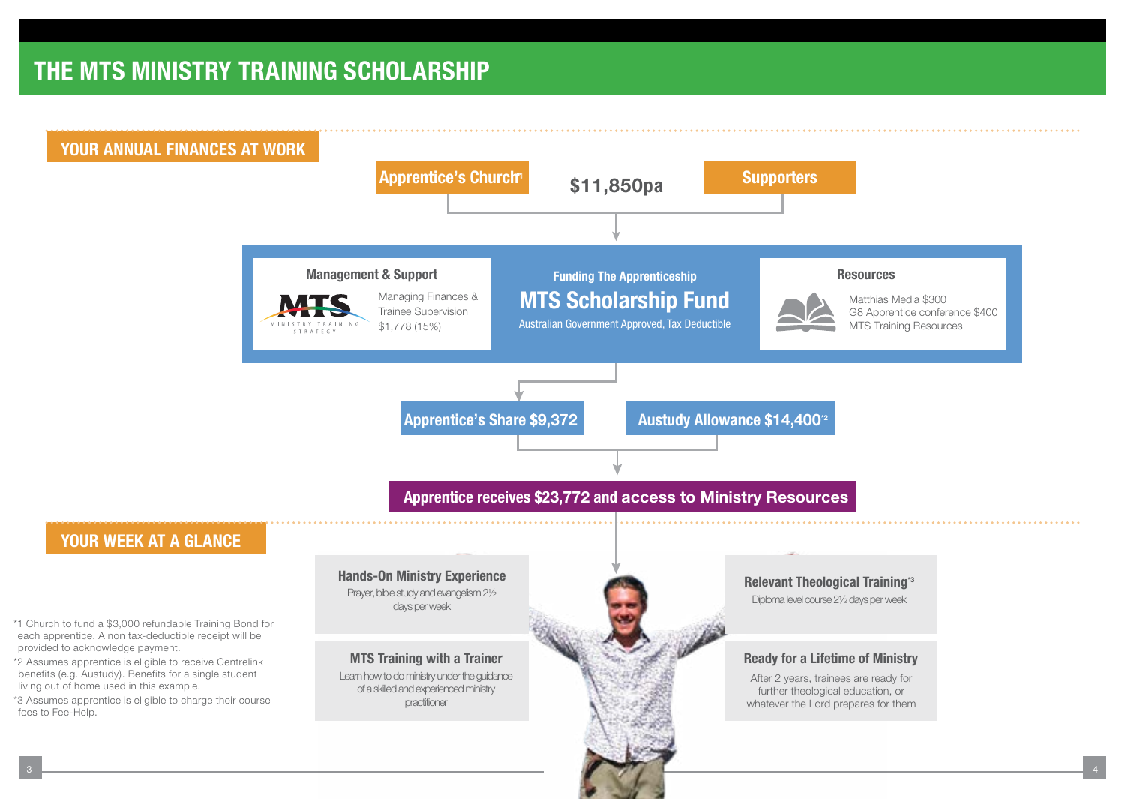## THE MTS MINISTRY TRAINING SCHOLARSHIP